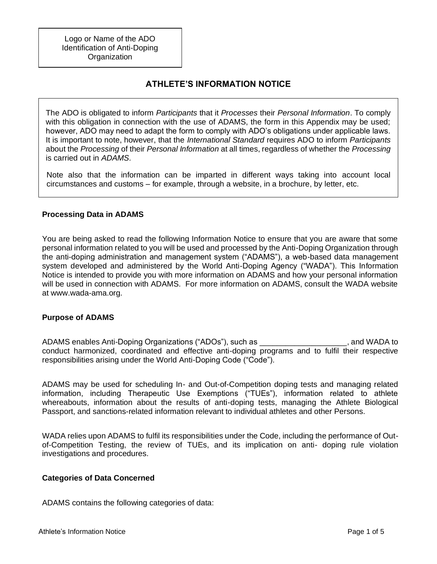Logo or Name of the ADO Identification of Anti-Doping **Organization** 

# **ATHLETE'S INFORMATION NOTICE**

The ADO is obligated to inform *Participants* that it *Processes* their *Personal Information*. To comply with this obligation in connection with the use of ADAMS, the form in this Appendix may be used; however, ADO may need to adapt the form to comply with ADO's obligations under applicable laws. It is important to note, however, that the *International Standard* requires ADO to inform *Participants*  about the *Processing* of their *Personal Information* at all times, regardless of whether the *Processing*  is carried out in *ADAMS*.

Note also that the information can be imparted in different ways taking into account local circumstances and customs – for example, through a website, in a brochure, by letter, etc.

### **Processing Data in ADAMS**

You are being asked to read the following Information Notice to ensure that you are aware that some personal information related to you will be used and processed by the Anti-Doping Organization through the anti-doping administration and management system ("ADAMS"), a web-based data management system developed and administered by the World Anti-Doping Agency ("WADA"). This Information Notice is intended to provide you with more information on ADAMS and how your personal information will be used in connection with ADAMS. For more information on ADAMS, consult the WADA website at www.wada-ama.org.

### **Purpose of ADAMS**

ADAMS enables Anti-Doping Organizations ("ADOs"), such as \_\_\_\_\_\_\_\_\_\_\_\_\_\_\_\_\_\_\_\_, and WADA to conduct harmonized, coordinated and effective anti-doping programs and to fulfil their respective responsibilities arising under the World Anti-Doping Code ("Code").

ADAMS may be used for scheduling In- and Out-of-Competition doping tests and managing related information, including Therapeutic Use Exemptions ("TUEs"), information related to athlete whereabouts, information about the results of anti-doping tests, managing the Athlete Biological Passport, and sanctions-related information relevant to individual athletes and other Persons.

WADA relies upon ADAMS to fulfil its responsibilities under the Code, including the performance of Outof-Competition Testing, the review of TUEs, and its implication on anti- doping rule violation investigations and procedures.

### **Categories of Data Concerned**

ADAMS contains the following categories of data: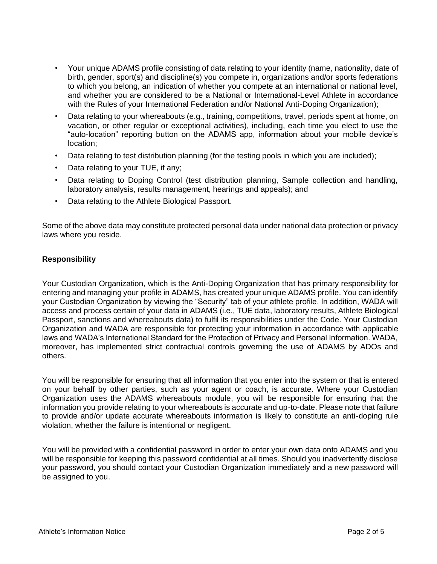- Your unique ADAMS profile consisting of data relating to your identity (name, nationality, date of birth, gender, sport(s) and discipline(s) you compete in, organizations and/or sports federations to which you belong, an indication of whether you compete at an international or national level, and whether you are considered to be a National or International-Level Athlete in accordance with the Rules of your International Federation and/or National Anti-Doping Organization);
- Data relating to your whereabouts (e.g., training, competitions, travel, periods spent at home, on vacation, or other regular or exceptional activities), including, each time you elect to use the "auto-location" reporting button on the ADAMS app, information about your mobile device's location;
- Data relating to test distribution planning (for the testing pools in which you are included);
- Data relating to your TUE, if any;
- Data relating to Doping Control (test distribution planning, Sample collection and handling, laboratory analysis, results management, hearings and appeals); and
- Data relating to the Athlete Biological Passport.

Some of the above data may constitute protected personal data under national data protection or privacy laws where you reside.

### **Responsibility**

Your Custodian Organization, which is the Anti-Doping Organization that has primary responsibility for entering and managing your profile in ADAMS, has created your unique ADAMS profile. You can identify your Custodian Organization by viewing the "Security" tab of your athlete profile. In addition, WADA will access and process certain of your data in ADAMS (i.e., TUE data, laboratory results, Athlete Biological Passport, sanctions and whereabouts data) to fulfil its responsibilities under the Code. Your Custodian Organization and WADA are responsible for protecting your information in accordance with applicable laws and WADA's International Standard for the Protection of Privacy and Personal Information. WADA, moreover, has implemented strict contractual controls governing the use of ADAMS by ADOs and others.

You will be responsible for ensuring that all information that you enter into the system or that is entered on your behalf by other parties, such as your agent or coach, is accurate. Where your Custodian Organization uses the ADAMS whereabouts module, you will be responsible for ensuring that the information you provide relating to your whereabouts is accurate and up-to-date. Please note that failure to provide and/or update accurate whereabouts information is likely to constitute an anti-doping rule violation, whether the failure is intentional or negligent.

You will be provided with a confidential password in order to enter your own data onto ADAMS and you will be responsible for keeping this password confidential at all times. Should you inadvertently disclose your password, you should contact your Custodian Organization immediately and a new password will be assigned to you.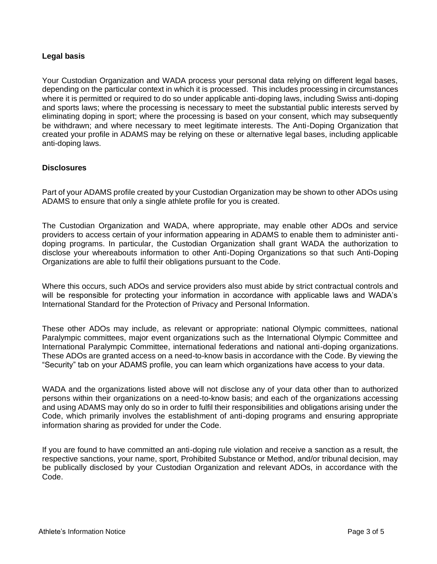### **Legal basis**

Your Custodian Organization and WADA process your personal data relying on different legal bases, depending on the particular context in which it is processed. This includes processing in circumstances where it is permitted or required to do so under applicable anti-doping laws, including Swiss anti-doping and sports laws; where the processing is necessary to meet the substantial public interests served by eliminating doping in sport; where the processing is based on your consent, which may subsequently be withdrawn; and where necessary to meet legitimate interests. The Anti-Doping Organization that created your profile in ADAMS may be relying on these or alternative legal bases, including applicable anti-doping laws.

### **Disclosures**

Part of your ADAMS profile created by your Custodian Organization may be shown to other ADOs using ADAMS to ensure that only a single athlete profile for you is created.

The Custodian Organization and WADA, where appropriate, may enable other ADOs and service providers to access certain of your information appearing in ADAMS to enable them to administer antidoping programs. In particular, the Custodian Organization shall grant WADA the authorization to disclose your whereabouts information to other Anti-Doping Organizations so that such Anti-Doping Organizations are able to fulfil their obligations pursuant to the Code.

Where this occurs, such ADOs and service providers also must abide by strict contractual controls and will be responsible for protecting your information in accordance with applicable laws and WADA's International Standard for the Protection of Privacy and Personal Information.

These other ADOs may include, as relevant or appropriate: national Olympic committees, national Paralympic committees, major event organizations such as the International Olympic Committee and International Paralympic Committee, international federations and national anti-doping organizations. These ADOs are granted access on a need-to-know basis in accordance with the Code. By viewing the "Security" tab on your ADAMS profile, you can learn which organizations have access to your data.

WADA and the organizations listed above will not disclose any of your data other than to authorized persons within their organizations on a need-to-know basis; and each of the organizations accessing and using ADAMS may only do so in order to fulfil their responsibilities and obligations arising under the Code, which primarily involves the establishment of anti-doping programs and ensuring appropriate information sharing as provided for under the Code.

If you are found to have committed an anti-doping rule violation and receive a sanction as a result, the respective sanctions, your name, sport, Prohibited Substance or Method, and/or tribunal decision, may be publically disclosed by your Custodian Organization and relevant ADOs, in accordance with the Code.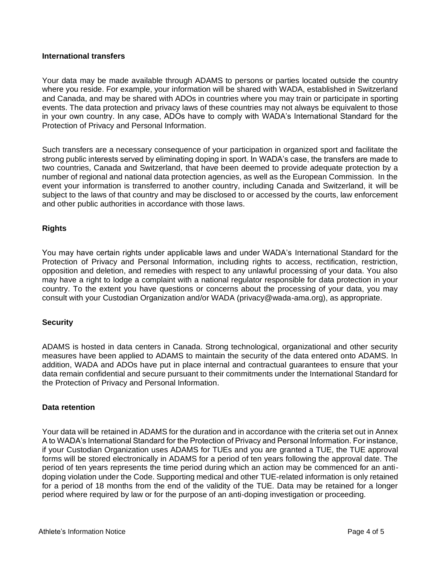### **International transfers**

Your data may be made available through ADAMS to persons or parties located outside the country where you reside. For example, your information will be shared with WADA, established in Switzerland and Canada, and may be shared with ADOs in countries where you may train or participate in sporting events. The data protection and privacy laws of these countries may not always be equivalent to those in your own country. In any case, ADOs have to comply with WADA's International Standard for the Protection of Privacy and Personal Information.

Such transfers are a necessary consequence of your participation in organized sport and facilitate the strong public interests served by eliminating doping in sport. In WADA's case, the transfers are made to two countries, Canada and Switzerland, that have been deemed to provide adequate protection by a number of regional and national data protection agencies, as well as the European Commission. In the event your information is transferred to another country, including Canada and Switzerland, it will be subject to the laws of that country and may be disclosed to or accessed by the courts, law enforcement and other public authorities in accordance with those laws.

### **Rights**

You may have certain rights under applicable laws and under WADA's International Standard for the Protection of Privacy and Personal Information, including rights to access, rectification, restriction, opposition and deletion, and remedies with respect to any unlawful processing of your data. You also may have a right to lodge a complaint with a national regulator responsible for data protection in your country. To the extent you have questions or concerns about the processing of your data, you may consult with your Custodian Organization and/or WADA (privacy@wada-ama.org), as appropriate.

### **Security**

ADAMS is hosted in data centers in Canada. Strong technological, organizational and other security measures have been applied to ADAMS to maintain the security of the data entered onto ADAMS. In addition, WADA and ADOs have put in place internal and contractual guarantees to ensure that your data remain confidential and secure pursuant to their commitments under the International Standard for the Protection of Privacy and Personal Information.

### **Data retention**

Your data will be retained in ADAMS for the duration and in accordance with the criteria set out in Annex A to WADA's International Standard for the Protection of Privacy and Personal Information. For instance, if your Custodian Organization uses ADAMS for TUEs and you are granted a TUE, the TUE approval forms will be stored electronically in ADAMS for a period of ten years following the approval date. The period of ten years represents the time period during which an action may be commenced for an antidoping violation under the Code. Supporting medical and other TUE-related information is only retained for a period of 18 months from the end of the validity of the TUE. Data may be retained for a longer period where required by law or for the purpose of an anti-doping investigation or proceeding.